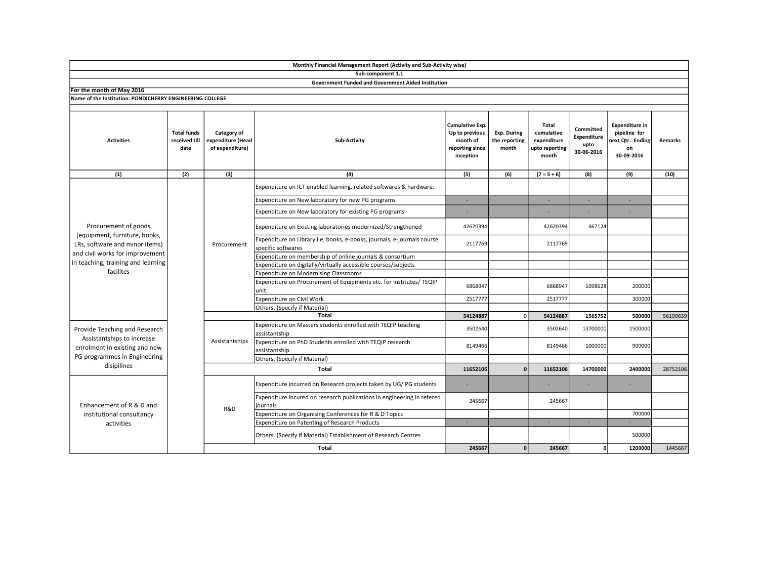|                                                                                                                                             |                                             |                                                     | Sub-component 1.1                                                                             |                                                                               |                                       |                                                               |                                                |                                                                               |          |
|---------------------------------------------------------------------------------------------------------------------------------------------|---------------------------------------------|-----------------------------------------------------|-----------------------------------------------------------------------------------------------|-------------------------------------------------------------------------------|---------------------------------------|---------------------------------------------------------------|------------------------------------------------|-------------------------------------------------------------------------------|----------|
|                                                                                                                                             |                                             |                                                     | Government Funded and Government Aided Institution                                            |                                                                               |                                       |                                                               |                                                |                                                                               |          |
| For the month of May 2016                                                                                                                   |                                             |                                                     |                                                                                               |                                                                               |                                       |                                                               |                                                |                                                                               |          |
| Name of the Institution: PONDICHERRY ENGINEERING COLLEGE                                                                                    |                                             |                                                     |                                                                                               |                                                                               |                                       |                                                               |                                                |                                                                               |          |
|                                                                                                                                             |                                             |                                                     |                                                                                               |                                                                               |                                       |                                                               |                                                |                                                                               |          |
| <b>Activities</b>                                                                                                                           | <b>Total funds</b><br>received till<br>date | Category of<br>expenditure (Head<br>of expenditure) | Sub-Activity                                                                                  | Cumulative Exp.<br>Up to previous<br>month of<br>reporting since<br>inception | Exp. During<br>the reporting<br>month | Total<br>cumulative<br>expenditure<br>upto reporting<br>month | Committed<br>Expenditure<br>upto<br>30-06-2016 | <b>Expenditure in</b><br>pipeline for<br>next Qtr. Ending<br>on<br>30-09-2016 | Remarks  |
| (1)                                                                                                                                         | (2)                                         | (3)                                                 | (4)                                                                                           | (5)                                                                           | (6)                                   | $(7 = 5 + 6)$                                                 | (8)                                            | (9)                                                                           | (10)     |
| Procurement of goods<br>(equipment, furniture, books,<br>LRs, software and minor items)                                                     |                                             | Procurement                                         | Expenditure on ICT enabled learning, related softwares & hardware.                            |                                                                               |                                       |                                                               |                                                |                                                                               |          |
|                                                                                                                                             |                                             |                                                     | Expenditure on New laboratory for new PG programs                                             | ٠                                                                             |                                       |                                                               |                                                |                                                                               |          |
|                                                                                                                                             |                                             |                                                     | Expenditure on New laboratory for existing PG programs                                        |                                                                               |                                       |                                                               |                                                |                                                                               |          |
|                                                                                                                                             |                                             |                                                     | Expenditure on Existing laboratories modernized/Strengthened                                  | 42620394                                                                      |                                       | 42620394                                                      | 467124                                         |                                                                               |          |
|                                                                                                                                             |                                             |                                                     | Expenditure on Library i.e. books, e-books, journals, e-journals course<br>specific softwares | 2117769                                                                       |                                       | 2117769                                                       |                                                |                                                                               |          |
| and civil works for improvement                                                                                                             |                                             |                                                     | Expenditure on membership of online journals & consortium                                     |                                                                               |                                       |                                                               |                                                |                                                                               |          |
| in teaching, training and learning<br>facilites                                                                                             |                                             |                                                     | Expenditure on digitally/virtually accessible courses/subjects                                |                                                                               |                                       |                                                               |                                                |                                                                               |          |
|                                                                                                                                             |                                             |                                                     | Expenditure on Modernising Classrooms                                                         |                                                                               |                                       |                                                               |                                                |                                                                               |          |
|                                                                                                                                             |                                             |                                                     | Expenditure on Procurement of Equipments etc. for Institutes/ TEQIP<br>unit.                  | 6868947                                                                       |                                       | 6868947                                                       | 1098628                                        | 200000                                                                        |          |
|                                                                                                                                             |                                             |                                                     | Expenditure on Civil Work                                                                     | 2517777                                                                       |                                       | 2517777                                                       |                                                | 300000                                                                        |          |
|                                                                                                                                             |                                             |                                                     | Others. (Specify if Material)                                                                 |                                                                               |                                       |                                                               |                                                |                                                                               |          |
|                                                                                                                                             |                                             |                                                     | <b>Total</b>                                                                                  | 54124887                                                                      | $\Omega$                              | 54124887                                                      | 1565752                                        | 500000                                                                        | 56190639 |
| Provide Teaching and Research<br>Assistantships to increase<br>enrolment in existing and new<br>PG programmes in Engineering<br>disipilines |                                             | Assistantships                                      | Expenditure on Masters students enrolled with TEQIP teaching<br>assistantship                 | 3502640                                                                       |                                       | 3502640                                                       | 13700000                                       | 1500000                                                                       |          |
|                                                                                                                                             |                                             |                                                     | Expenditure on PhD Students enrolled with TEQIP research<br>assistantship                     | 8149466                                                                       |                                       | 8149466                                                       | 1000000                                        | 900000                                                                        |          |
|                                                                                                                                             |                                             |                                                     | Others. (Specify if Material)                                                                 |                                                                               |                                       |                                                               |                                                |                                                                               |          |
|                                                                                                                                             |                                             | Total                                               |                                                                                               | 11652106                                                                      | $\Omega$                              | 11652106                                                      | 14700000                                       | 2400000                                                                       | 28752106 |
| Enhancement of R & D and<br>institutional consultancy<br>activities                                                                         |                                             | R&D                                                 | Expenditure incurred on Research projects taken by UG/PG students                             |                                                                               |                                       |                                                               |                                                |                                                                               |          |
|                                                                                                                                             |                                             |                                                     | Expenditure incured on research publications in engineering in refered<br>journals            | 245667                                                                        |                                       | 245667                                                        |                                                |                                                                               |          |
|                                                                                                                                             |                                             |                                                     | Expenditure on Organising Conferences for R & D Topics                                        |                                                                               |                                       |                                                               |                                                | 700000                                                                        |          |
|                                                                                                                                             |                                             |                                                     | Expenditure on Patenting of Research Products                                                 | ٠                                                                             |                                       | ×.                                                            |                                                |                                                                               |          |
|                                                                                                                                             |                                             |                                                     | Others. (Specify if Material) Establishment of Research Centres                               |                                                                               |                                       |                                                               |                                                | 500000                                                                        |          |
|                                                                                                                                             |                                             |                                                     | Total                                                                                         | 245667                                                                        | $\mathbf{0}$                          | 245667                                                        | ٥I                                             | 1200000                                                                       | 1445667  |

Monthly Financial Management Report (Activity and Sub-Activity wise)